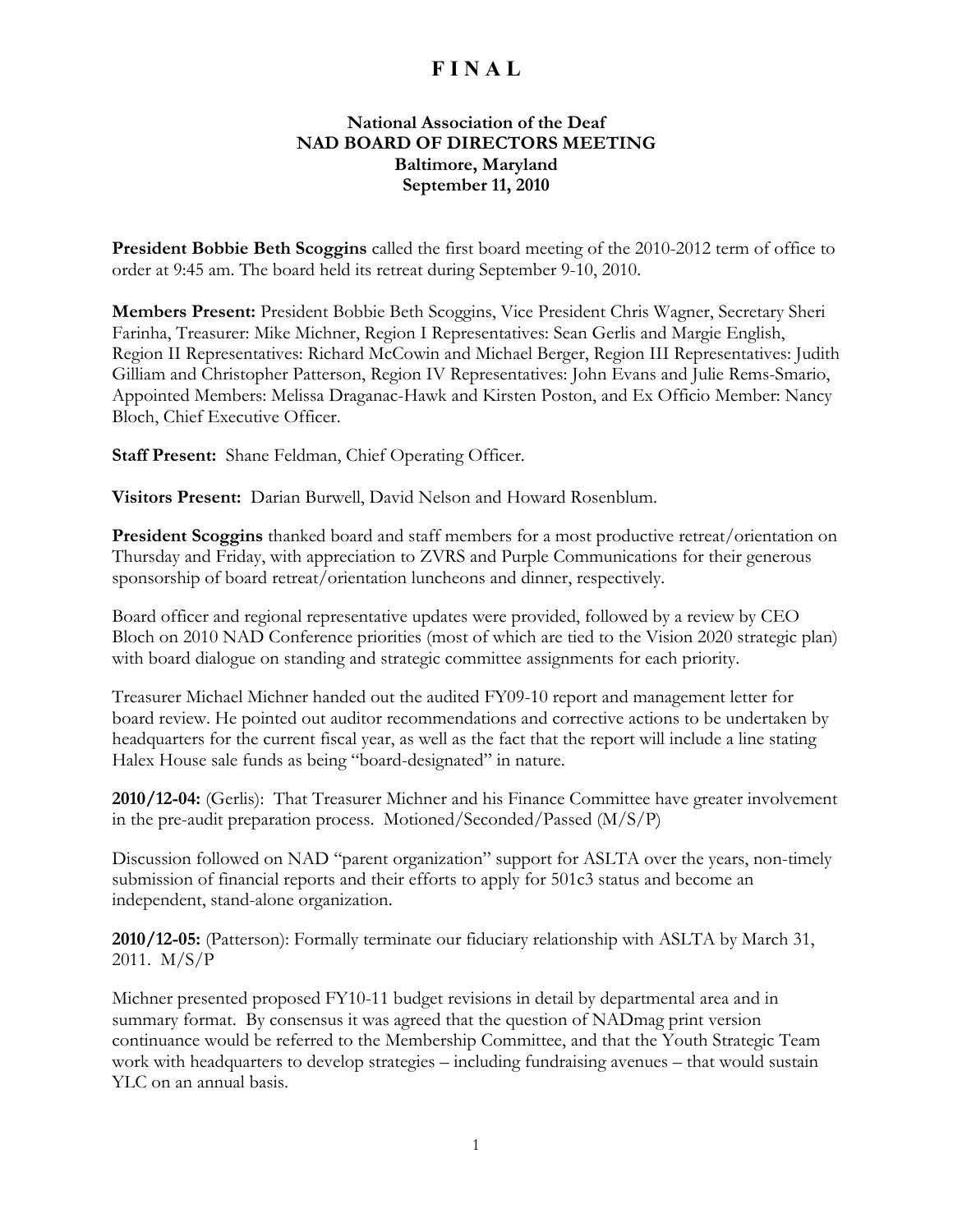#### **National Association of the Deaf NAD BOARD OF DIRECTORS MEETING Baltimore, Maryland September 11, 2010**

**President Bobbie Beth Scoggins** called the first board meeting of the 2010-2012 term of office to order at 9:45 am. The board held its retreat during September 9-10, 2010.

**Members Present:** President Bobbie Beth Scoggins, Vice President Chris Wagner, Secretary Sheri Farinha, Treasurer: Mike Michner, Region I Representatives: Sean Gerlis and Margie English, Region II Representatives: Richard McCowin and Michael Berger, Region III Representatives: Judith Gilliam and Christopher Patterson, Region IV Representatives: John Evans and Julie Rems-Smario, Appointed Members: Melissa Draganac-Hawk and Kirsten Poston, and Ex Officio Member: Nancy Bloch, Chief Executive Officer.

**Staff Present:** Shane Feldman, Chief Operating Officer.

**Visitors Present:** Darian Burwell, David Nelson and Howard Rosenblum.

**President Scoggins** thanked board and staff members for a most productive retreat/orientation on Thursday and Friday, with appreciation to ZVRS and Purple Communications for their generous sponsorship of board retreat/orientation luncheons and dinner, respectively.

Board officer and regional representative updates were provided, followed by a review by CEO Bloch on 2010 NAD Conference priorities (most of which are tied to the Vision 2020 strategic plan) with board dialogue on standing and strategic committee assignments for each priority.

Treasurer Michael Michner handed out the audited FY09-10 report and management letter for board review. He pointed out auditor recommendations and corrective actions to be undertaken by headquarters for the current fiscal year, as well as the fact that the report will include a line stating Halex House sale funds as being "board-designated" in nature.

**2010/12-04:** (Gerlis): That Treasurer Michner and his Finance Committee have greater involvement in the pre-audit preparation process. Motioned/Seconded/Passed (M/S/P)

Discussion followed on NAD "parent organization" support for ASLTA over the years, non-timely submission of financial reports and their efforts to apply for 501c3 status and become an independent, stand-alone organization.

**2010/12-05:** (Patterson): Formally terminate our fiduciary relationship with ASLTA by March 31, 2011. M/S/P

Michner presented proposed FY10-11 budget revisions in detail by departmental area and in summary format. By consensus it was agreed that the question of NADmag print version continuance would be referred to the Membership Committee, and that the Youth Strategic Team work with headquarters to develop strategies – including fundraising avenues – that would sustain YLC on an annual basis.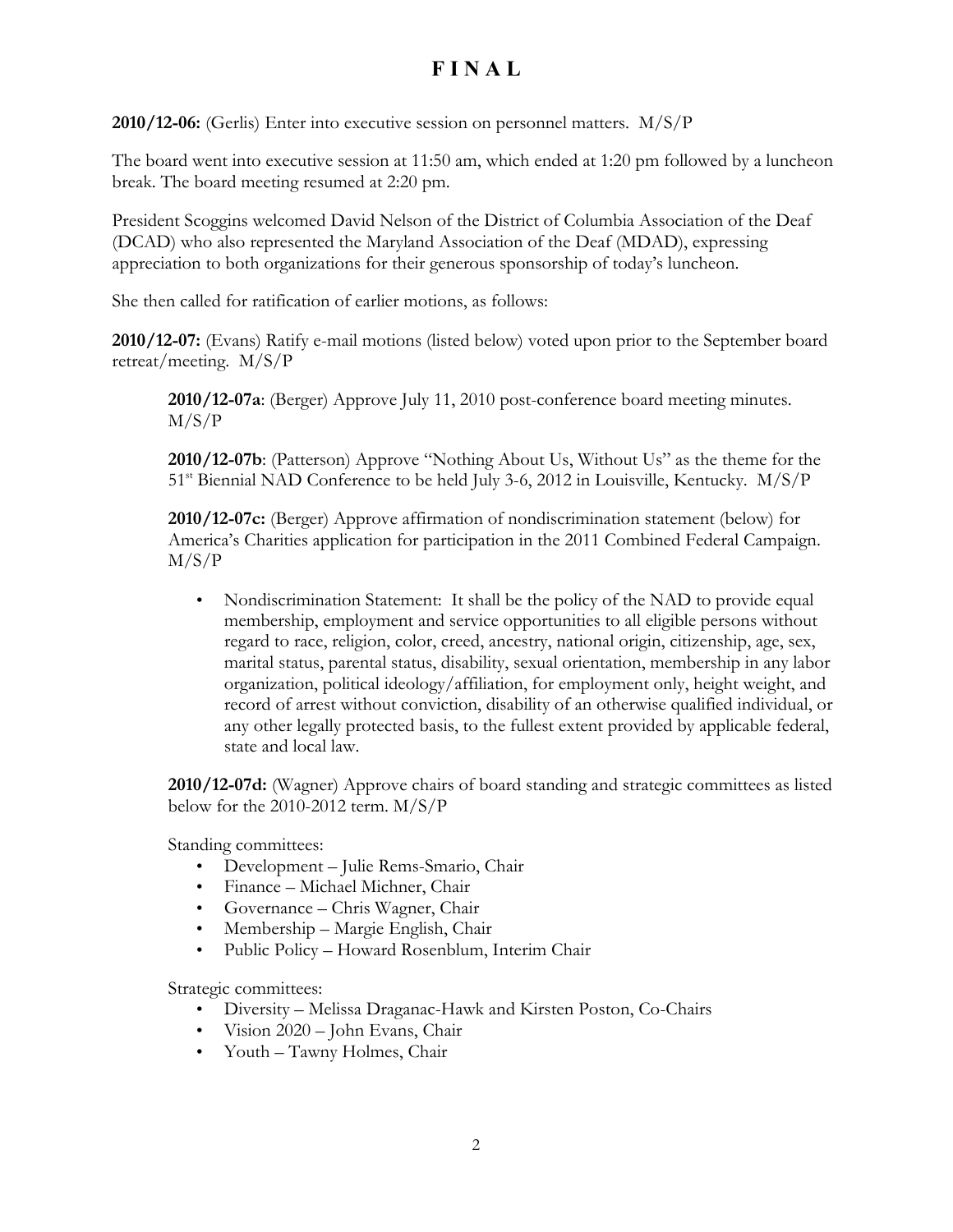**2010/12-06:** (Gerlis) Enter into executive session on personnel matters. M/S/P

The board went into executive session at 11:50 am, which ended at 1:20 pm followed by a luncheon break. The board meeting resumed at 2:20 pm.

President Scoggins welcomed David Nelson of the District of Columbia Association of the Deaf (DCAD) who also represented the Maryland Association of the Deaf (MDAD), expressing appreciation to both organizations for their generous sponsorship of today's luncheon.

She then called for ratification of earlier motions, as follows:

**2010/12-07:** (Evans) Ratify e-mail motions (listed below) voted upon prior to the September board retreat/meeting. M/S/P

**2010/12-07a**: (Berger) Approve July 11, 2010 post-conference board meeting minutes. M/S/P

**2010/12-07b**: (Patterson) Approve "Nothing About Us, Without Us" as the theme for the 51st Biennial NAD Conference to be held July 3-6, 2012 in Louisville, Kentucky. M/S/P

**2010/12-07c:** (Berger) Approve affirmation of nondiscrimination statement (below) for America's Charities application for participation in the 2011 Combined Federal Campaign. M/S/P

• Nondiscrimination Statement: It shall be the policy of the NAD to provide equal membership, employment and service opportunities to all eligible persons without regard to race, religion, color, creed, ancestry, national origin, citizenship, age, sex, marital status, parental status, disability, sexual orientation, membership in any labor organization, political ideology/affiliation, for employment only, height weight, and record of arrest without conviction, disability of an otherwise qualified individual, or any other legally protected basis, to the fullest extent provided by applicable federal, state and local law.

**2010/12-07d:** (Wagner) Approve chairs of board standing and strategic committees as listed below for the 2010-2012 term. M/S/P

Standing committees:

- Development Julie Rems-Smario, Chair
- Finance Michael Michner, Chair
- Governance Chris Wagner, Chair
- Membership Margie English, Chair
- Public Policy Howard Rosenblum, Interim Chair

Strategic committees:

- Diversity Melissa Draganac-Hawk and Kirsten Poston, Co-Chairs
- Vision 2020 John Evans, Chair
- Youth Tawny Holmes, Chair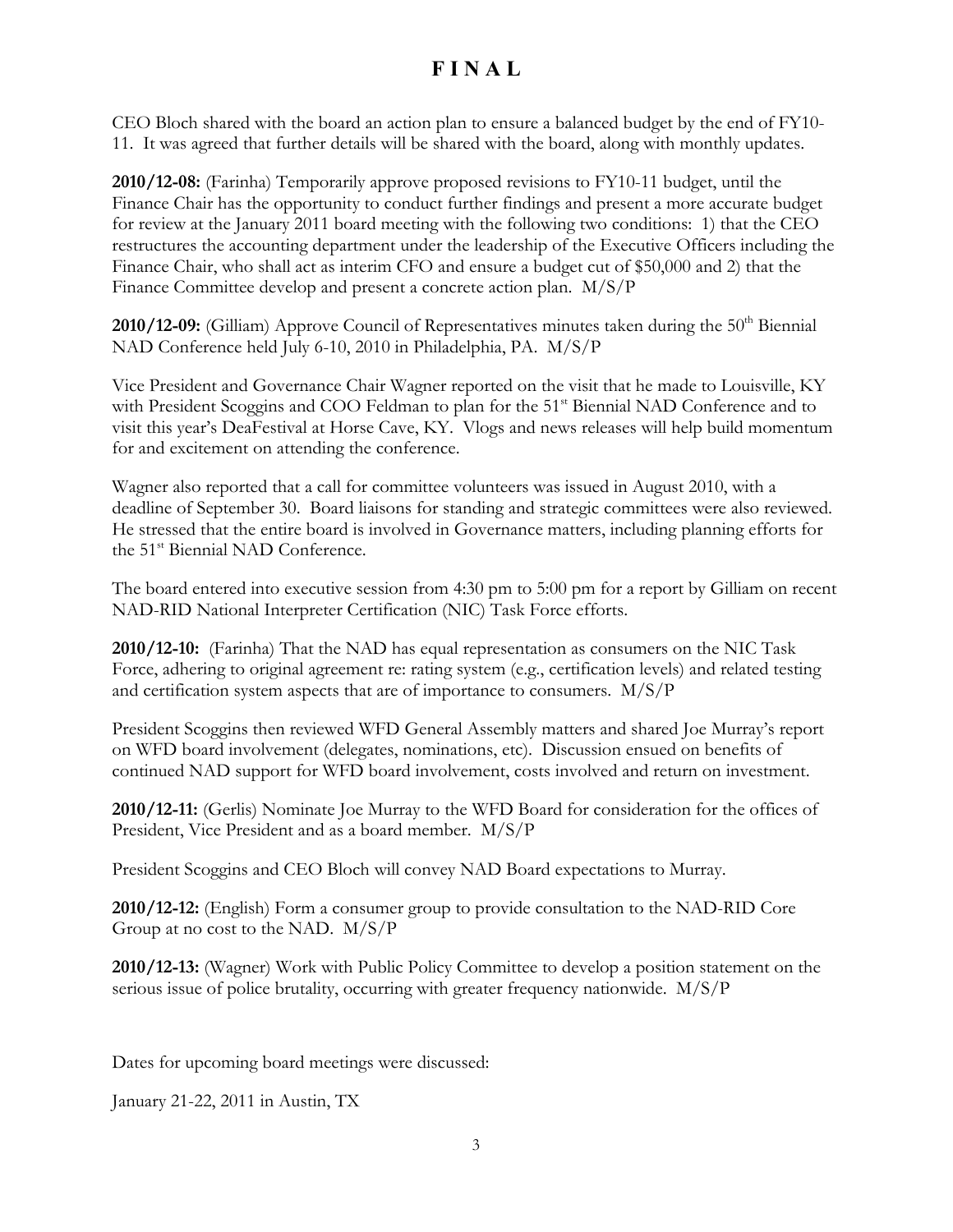CEO Bloch shared with the board an action plan to ensure a balanced budget by the end of FY10- 11. It was agreed that further details will be shared with the board, along with monthly updates.

**2010/12-08:** (Farinha) Temporarily approve proposed revisions to FY10-11 budget, until the Finance Chair has the opportunity to conduct further findings and present a more accurate budget for review at the January 2011 board meeting with the following two conditions: 1) that the CEO restructures the accounting department under the leadership of the Executive Officers including the Finance Chair, who shall act as interim CFO and ensure a budget cut of \$50,000 and 2) that the Finance Committee develop and present a concrete action plan. M/S/P

**2010/12-09:** (Gilliam) Approve Council of Representatives minutes taken during the 50<sup>th</sup> Biennial NAD Conference held July 6-10, 2010 in Philadelphia, PA. M/S/P

Vice President and Governance Chair Wagner reported on the visit that he made to Louisville, KY with President Scoggins and COO Feldman to plan for the 51<sup>st</sup> Biennial NAD Conference and to visit this year's DeaFestival at Horse Cave, KY. Vlogs and news releases will help build momentum for and excitement on attending the conference.

Wagner also reported that a call for committee volunteers was issued in August 2010, with a deadline of September 30. Board liaisons for standing and strategic committees were also reviewed. He stressed that the entire board is involved in Governance matters, including planning efforts for the 51<sup>st</sup> Biennial NAD Conference.

The board entered into executive session from 4:30 pm to 5:00 pm for a report by Gilliam on recent NAD-RID National Interpreter Certification (NIC) Task Force efforts.

**2010/12-10:** (Farinha) That the NAD has equal representation as consumers on the NIC Task Force, adhering to original agreement re: rating system (e.g., certification levels) and related testing and certification system aspects that are of importance to consumers. M/S/P

President Scoggins then reviewed WFD General Assembly matters and shared Joe Murray's report on WFD board involvement (delegates, nominations, etc). Discussion ensued on benefits of continued NAD support for WFD board involvement, costs involved and return on investment.

**2010/12-11:** (Gerlis) Nominate Joe Murray to the WFD Board for consideration for the offices of President, Vice President and as a board member. M/S/P

President Scoggins and CEO Bloch will convey NAD Board expectations to Murray.

**2010/12-12:** (English) Form a consumer group to provide consultation to the NAD-RID Core Group at no cost to the NAD. M/S/P

**2010/12-13:** (Wagner) Work with Public Policy Committee to develop a position statement on the serious issue of police brutality, occurring with greater frequency nationwide. M/S/P

Dates for upcoming board meetings were discussed:

January 21-22, 2011 in Austin, TX